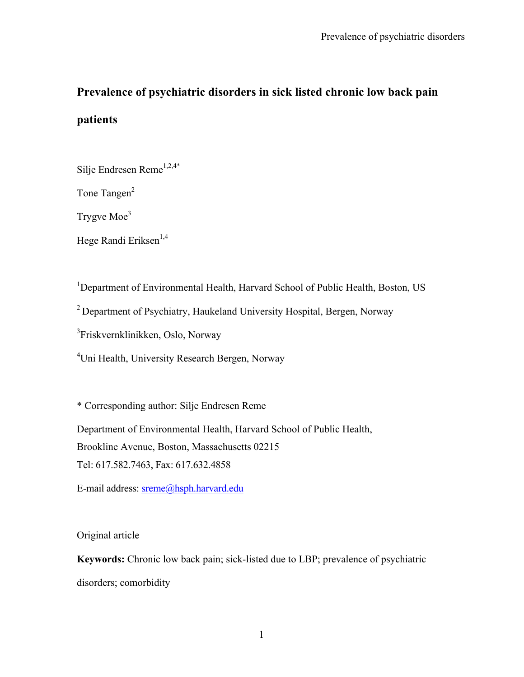# **Prevalence of psychiatric disorders in sick listed chronic low back pain**

## **patients**

Silje Endresen Reme<sup>1,2,4\*</sup>

Tone Tangen<sup>2</sup>

Trygve Moe<sup>3</sup>

Hege Randi Eriksen<sup>1,4</sup>

<sup>1</sup>Department of Environmental Health, Harvard School of Public Health, Boston, US

<sup>2</sup> Department of Psychiatry, Haukeland University Hospital, Bergen, Norway

3 Friskvernklinikken, Oslo, Norway

<sup>4</sup>Uni Health, University Research Bergen, Norway

\* Corresponding author: Silje Endresen Reme

Department of Environmental Health, Harvard School of Public Health, Brookline Avenue, Boston, Massachusetts 02215 Tel: 617.582.7463, Fax: 617.632.4858

E-mail address: sreme@hsph.harvard.edu

Original article

**Keywords:** Chronic low back pain; sick-listed due to LBP; prevalence of psychiatric disorders; comorbidity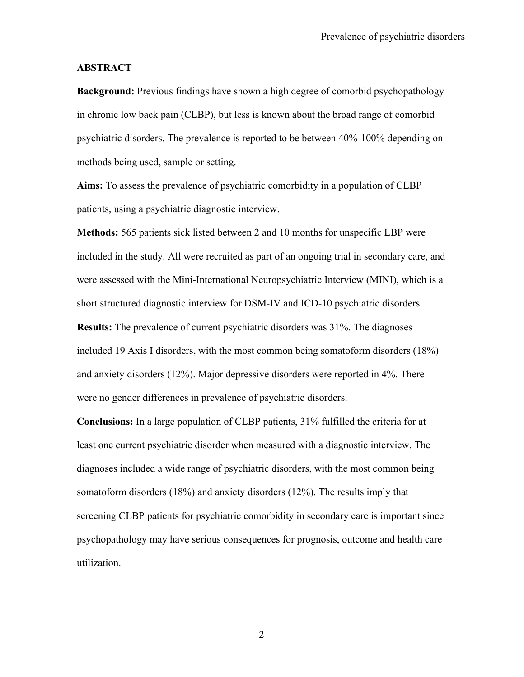#### **ABSTRACT**

**Background:** Previous findings have shown a high degree of comorbid psychopathology in chronic low back pain (CLBP), but less is known about the broad range of comorbid psychiatric disorders. The prevalence is reported to be between 40%-100% depending on methods being used, sample or setting.

**Aims:** To assess the prevalence of psychiatric comorbidity in a population of CLBP patients, using a psychiatric diagnostic interview.

**Methods:** 565 patients sick listed between 2 and 10 months for unspecific LBP were included in the study. All were recruited as part of an ongoing trial in secondary care, and were assessed with the Mini-International Neuropsychiatric Interview (MINI), which is a short structured diagnostic interview for DSM-IV and ICD-10 psychiatric disorders. **Results:** The prevalence of current psychiatric disorders was 31%. The diagnoses included 19 Axis I disorders, with the most common being somatoform disorders (18%) and anxiety disorders (12%). Major depressive disorders were reported in 4%. There were no gender differences in prevalence of psychiatric disorders.

**Conclusions:** In a large population of CLBP patients, 31% fulfilled the criteria for at least one current psychiatric disorder when measured with a diagnostic interview. The diagnoses included a wide range of psychiatric disorders, with the most common being somatoform disorders (18%) and anxiety disorders (12%). The results imply that screening CLBP patients for psychiatric comorbidity in secondary care is important since psychopathology may have serious consequences for prognosis, outcome and health care utilization.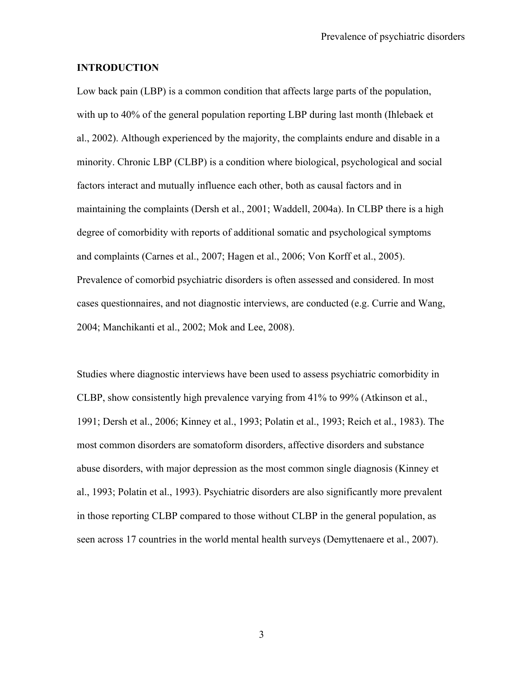## **INTRODUCTION**

Low back pain (LBP) is a common condition that affects large parts of the population, with up to 40% of the general population reporting LBP during last month (Ihlebaek et al., 2002). Although experienced by the majority, the complaints endure and disable in a minority. Chronic LBP (CLBP) is a condition where biological, psychological and social factors interact and mutually influence each other, both as causal factors and in maintaining the complaints (Dersh et al., 2001; Waddell, 2004a). In CLBP there is a high degree of comorbidity with reports of additional somatic and psychological symptoms and complaints (Carnes et al., 2007; Hagen et al., 2006; Von Korff et al., 2005). Prevalence of comorbid psychiatric disorders is often assessed and considered. In most cases questionnaires, and not diagnostic interviews, are conducted (e.g. Currie and Wang, 2004; Manchikanti et al., 2002; Mok and Lee, 2008).

Studies where diagnostic interviews have been used to assess psychiatric comorbidity in CLBP, show consistently high prevalence varying from 41% to 99% (Atkinson et al., 1991; Dersh et al., 2006; Kinney et al., 1993; Polatin et al., 1993; Reich et al., 1983). The most common disorders are somatoform disorders, affective disorders and substance abuse disorders, with major depression as the most common single diagnosis (Kinney et al., 1993; Polatin et al., 1993). Psychiatric disorders are also significantly more prevalent in those reporting CLBP compared to those without CLBP in the general population, as seen across 17 countries in the world mental health surveys (Demyttenaere et al., 2007).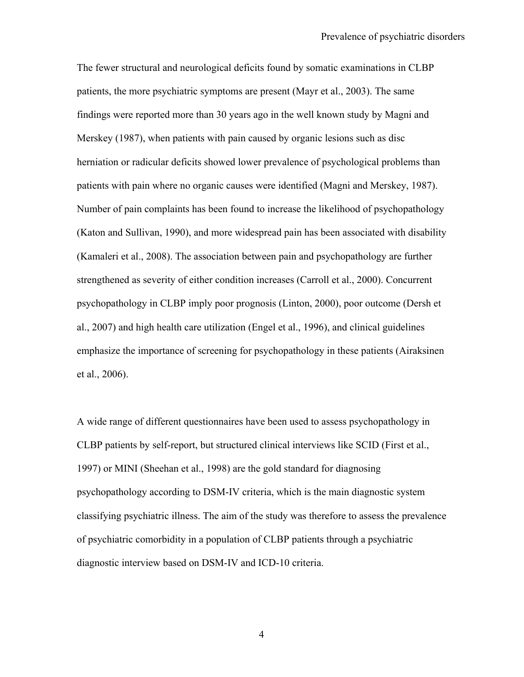The fewer structural and neurological deficits found by somatic examinations in CLBP patients, the more psychiatric symptoms are present (Mayr et al., 2003). The same findings were reported more than 30 years ago in the well known study by Magni and Merskey (1987), when patients with pain caused by organic lesions such as disc herniation or radicular deficits showed lower prevalence of psychological problems than patients with pain where no organic causes were identified (Magni and Merskey, 1987). Number of pain complaints has been found to increase the likelihood of psychopathology (Katon and Sullivan, 1990), and more widespread pain has been associated with disability (Kamaleri et al., 2008). The association between pain and psychopathology are further strengthened as severity of either condition increases (Carroll et al., 2000). Concurrent psychopathology in CLBP imply poor prognosis (Linton, 2000), poor outcome (Dersh et al., 2007) and high health care utilization (Engel et al., 1996), and clinical guidelines emphasize the importance of screening for psychopathology in these patients (Airaksinen et al., 2006).

A wide range of different questionnaires have been used to assess psychopathology in CLBP patients by self-report, but structured clinical interviews like SCID (First et al., 1997) or MINI (Sheehan et al., 1998) are the gold standard for diagnosing psychopathology according to DSM-IV criteria, which is the main diagnostic system classifying psychiatric illness. The aim of the study was therefore to assess the prevalence of psychiatric comorbidity in a population of CLBP patients through a psychiatric diagnostic interview based on DSM-IV and ICD-10 criteria.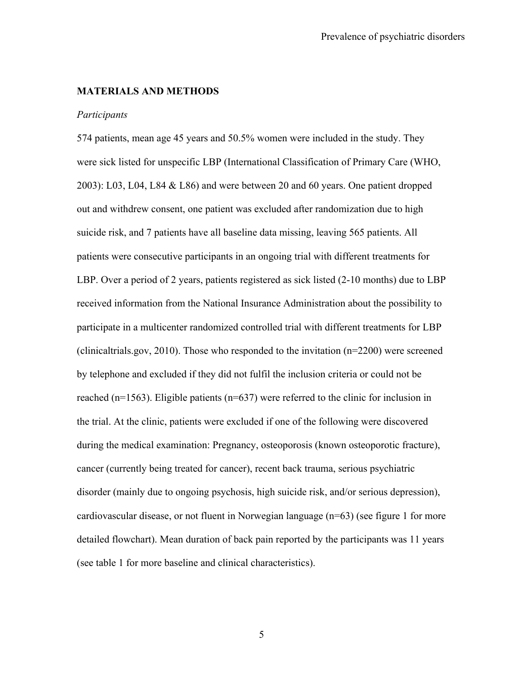#### **MATERIALS AND METHODS**

#### *Participants*

574 patients, mean age 45 years and 50.5% women were included in the study. They were sick listed for unspecific LBP (International Classification of Primary Care (WHO, 2003): L03, L04, L84 & L86) and were between 20 and 60 years. One patient dropped out and withdrew consent, one patient was excluded after randomization due to high suicide risk, and 7 patients have all baseline data missing, leaving 565 patients. All patients were consecutive participants in an ongoing trial with different treatments for LBP. Over a period of 2 years, patients registered as sick listed (2-10 months) due to LBP received information from the National Insurance Administration about the possibility to participate in a multicenter randomized controlled trial with different treatments for LBP (clinicaltrials.gov, 2010). Those who responded to the invitation (n=2200) were screened by telephone and excluded if they did not fulfil the inclusion criteria or could not be reached (n=1563). Eligible patients (n=637) were referred to the clinic for inclusion in the trial. At the clinic, patients were excluded if one of the following were discovered during the medical examination: Pregnancy, osteoporosis (known osteoporotic fracture), cancer (currently being treated for cancer), recent back trauma, serious psychiatric disorder (mainly due to ongoing psychosis, high suicide risk, and/or serious depression), cardiovascular disease, or not fluent in Norwegian language (n=63) (see figure 1 for more detailed flowchart). Mean duration of back pain reported by the participants was 11 years (see table 1 for more baseline and clinical characteristics).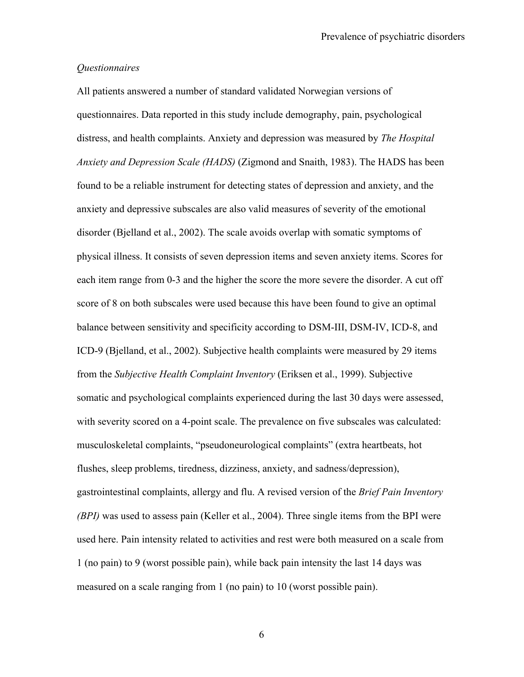## *Questionnaires*

All patients answered a number of standard validated Norwegian versions of questionnaires. Data reported in this study include demography, pain, psychological distress, and health complaints. Anxiety and depression was measured by *The Hospital Anxiety and Depression Scale (HADS)* (Zigmond and Snaith, 1983). The HADS has been found to be a reliable instrument for detecting states of depression and anxiety, and the anxiety and depressive subscales are also valid measures of severity of the emotional disorder (Bjelland et al., 2002). The scale avoids overlap with somatic symptoms of physical illness. It consists of seven depression items and seven anxiety items. Scores for each item range from 0-3 and the higher the score the more severe the disorder. A cut off score of 8 on both subscales were used because this have been found to give an optimal balance between sensitivity and specificity according to DSM-III, DSM-IV, ICD-8, and ICD-9 (Bjelland, et al., 2002). Subjective health complaints were measured by 29 items from the *Subjective Health Complaint Inventory* (Eriksen et al., 1999). Subjective somatic and psychological complaints experienced during the last 30 days were assessed, with severity scored on a 4-point scale. The prevalence on five subscales was calculated: musculoskeletal complaints, "pseudoneurological complaints" (extra heartbeats, hot flushes, sleep problems, tiredness, dizziness, anxiety, and sadness/depression), gastrointestinal complaints, allergy and flu. A revised version of the *Brief Pain Inventory (BPI)* was used to assess pain (Keller et al., 2004). Three single items from the BPI were used here. Pain intensity related to activities and rest were both measured on a scale from 1 (no pain) to 9 (worst possible pain), while back pain intensity the last 14 days was measured on a scale ranging from 1 (no pain) to 10 (worst possible pain).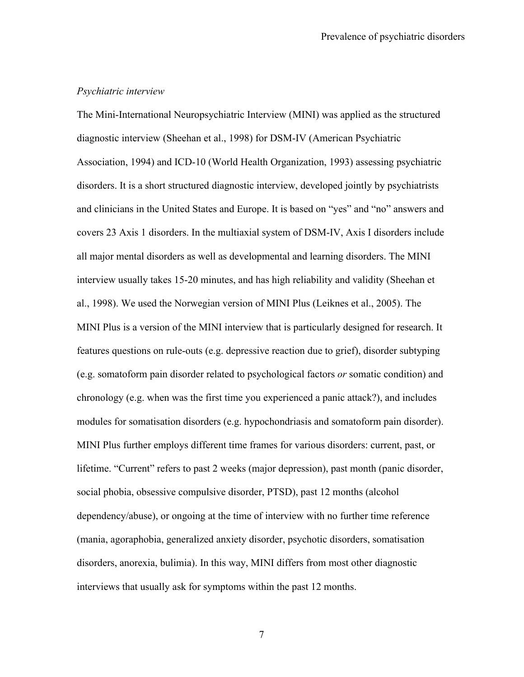## *Psychiatric interview*

The Mini-International Neuropsychiatric Interview (MINI) was applied as the structured diagnostic interview (Sheehan et al., 1998) for DSM-IV (American Psychiatric Association, 1994) and ICD-10 (World Health Organization, 1993) assessing psychiatric disorders. It is a short structured diagnostic interview, developed jointly by psychiatrists and clinicians in the United States and Europe. It is based on "yes" and "no" answers and covers 23 Axis 1 disorders. In the multiaxial system of DSM-IV, Axis I disorders include all major mental disorders as well as developmental and learning disorders. The MINI interview usually takes 15-20 minutes, and has high reliability and validity (Sheehan et al., 1998). We used the Norwegian version of MINI Plus (Leiknes et al., 2005). The MINI Plus is a version of the MINI interview that is particularly designed for research. It features questions on rule-outs (e.g. depressive reaction due to grief), disorder subtyping (e.g. somatoform pain disorder related to psychological factors *or* somatic condition) and chronology (e.g. when was the first time you experienced a panic attack?), and includes modules for somatisation disorders (e.g. hypochondriasis and somatoform pain disorder). MINI Plus further employs different time frames for various disorders: current, past, or lifetime. "Current" refers to past 2 weeks (major depression), past month (panic disorder, social phobia, obsessive compulsive disorder, PTSD), past 12 months (alcohol dependency/abuse), or ongoing at the time of interview with no further time reference (mania, agoraphobia, generalized anxiety disorder, psychotic disorders, somatisation disorders, anorexia, bulimia). In this way, MINI differs from most other diagnostic interviews that usually ask for symptoms within the past 12 months.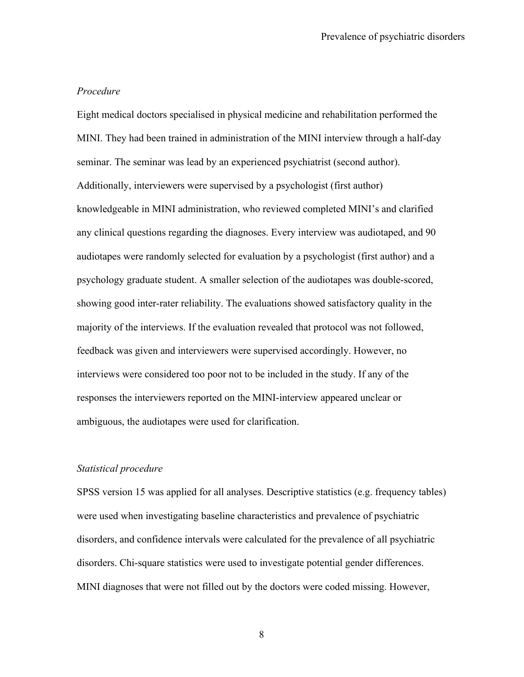#### *Procedure*

Eight medical doctors specialised in physical medicine and rehabilitation performed the MINI. They had been trained in administration of the MINI interview through a half-day seminar. The seminar was lead by an experienced psychiatrist (second author). Additionally, interviewers were supervised by a psychologist (first author) knowledgeable in MINI administration, who reviewed completed MINI's and clarified any clinical questions regarding the diagnoses. Every interview was audiotaped, and 90 audiotapes were randomly selected for evaluation by a psychologist (first author) and a psychology graduate student. A smaller selection of the audiotapes was double-scored, showing good inter-rater reliability. The evaluations showed satisfactory quality in the majority of the interviews. If the evaluation revealed that protocol was not followed, feedback was given and interviewers were supervised accordingly. However, no interviews were considered too poor not to be included in the study. If any of the responses the interviewers reported on the MINI-interview appeared unclear or ambiguous, the audiotapes were used for clarification.

#### *Statistical procedure*

SPSS version 15 was applied for all analyses. Descriptive statistics (e.g. frequency tables) were used when investigating baseline characteristics and prevalence of psychiatric disorders, and confidence intervals were calculated for the prevalence of all psychiatric disorders. Chi-square statistics were used to investigate potential gender differences. MINI diagnoses that were not filled out by the doctors were coded missing. However,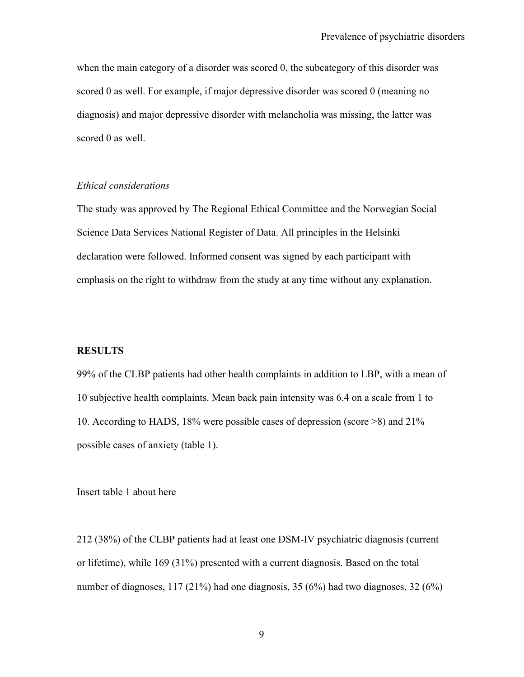when the main category of a disorder was scored 0, the subcategory of this disorder was scored 0 as well. For example, if major depressive disorder was scored 0 (meaning no diagnosis) and major depressive disorder with melancholia was missing, the latter was scored 0 as well.

## *Ethical considerations*

The study was approved by The Regional Ethical Committee and the Norwegian Social Science Data Services National Register of Data. All principles in the Helsinki declaration were followed. Informed consent was signed by each participant with emphasis on the right to withdraw from the study at any time without any explanation.

#### **RESULTS**

99% of the CLBP patients had other health complaints in addition to LBP, with a mean of 10 subjective health complaints. Mean back pain intensity was 6.4 on a scale from 1 to 10. According to HADS, 18% were possible cases of depression (score >8) and 21% possible cases of anxiety (table 1).

Insert table 1 about here

212 (38%) of the CLBP patients had at least one DSM-IV psychiatric diagnosis (current or lifetime), while 169 (31%) presented with a current diagnosis. Based on the total number of diagnoses,  $117 (21\%)$  had one diagnosis, 35 (6%) had two diagnoses, 32 (6%)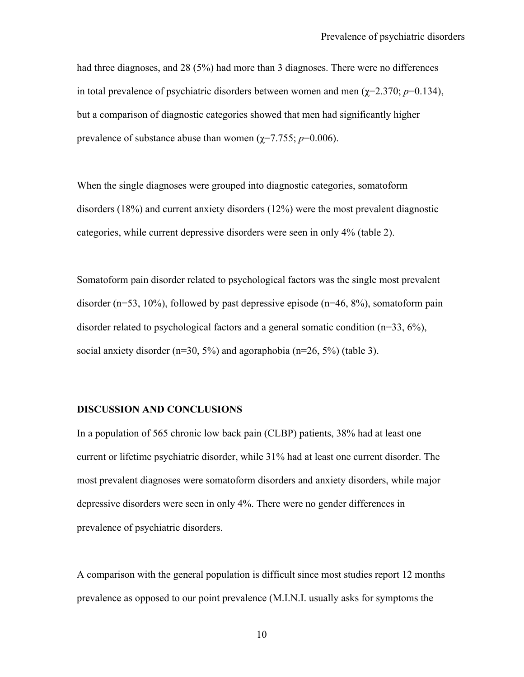had three diagnoses, and 28 (5%) had more than 3 diagnoses. There were no differences in total prevalence of psychiatric disorders between women and men ( $\gamma$ =2.370; *p*=0.134), but a comparison of diagnostic categories showed that men had significantly higher prevalence of substance abuse than women ( $\gamma$ =7.755; *p*=0.006).

When the single diagnoses were grouped into diagnostic categories, somatoform disorders (18%) and current anxiety disorders (12%) were the most prevalent diagnostic categories, while current depressive disorders were seen in only 4% (table 2).

Somatoform pain disorder related to psychological factors was the single most prevalent disorder ( $n=53$ , 10%), followed by past depressive episode ( $n=46, 8%$ ), somatoform pain disorder related to psychological factors and a general somatic condition (n=33, 6%), social anxiety disorder ( $n=30, 5\%$ ) and agoraphobia ( $n=26, 5\%$ ) (table 3).

### **DISCUSSION AND CONCLUSIONS**

In a population of 565 chronic low back pain (CLBP) patients, 38% had at least one current or lifetime psychiatric disorder, while 31% had at least one current disorder. The most prevalent diagnoses were somatoform disorders and anxiety disorders, while major depressive disorders were seen in only 4%. There were no gender differences in prevalence of psychiatric disorders.

A comparison with the general population is difficult since most studies report 12 months prevalence as opposed to our point prevalence (M.I.N.I. usually asks for symptoms the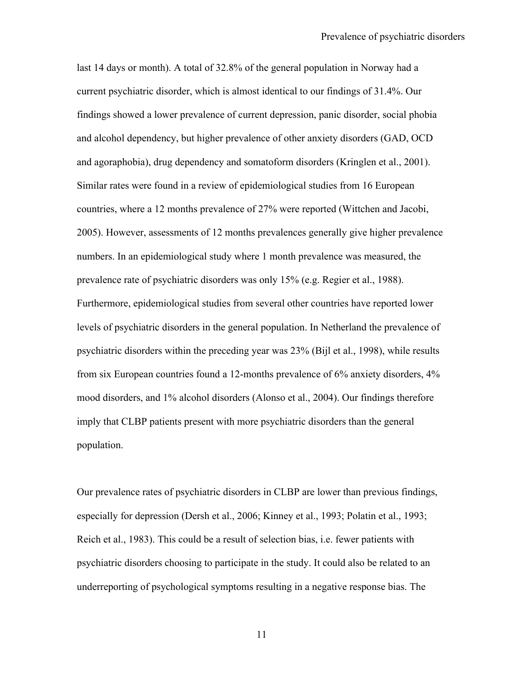last 14 days or month). A total of 32.8% of the general population in Norway had a current psychiatric disorder, which is almost identical to our findings of 31.4%. Our findings showed a lower prevalence of current depression, panic disorder, social phobia and alcohol dependency, but higher prevalence of other anxiety disorders (GAD, OCD and agoraphobia), drug dependency and somatoform disorders (Kringlen et al., 2001). Similar rates were found in a review of epidemiological studies from 16 European countries, where a 12 months prevalence of 27% were reported (Wittchen and Jacobi, 2005). However, assessments of 12 months prevalences generally give higher prevalence numbers. In an epidemiological study where 1 month prevalence was measured, the prevalence rate of psychiatric disorders was only 15% (e.g. Regier et al., 1988). Furthermore, epidemiological studies from several other countries have reported lower levels of psychiatric disorders in the general population. In Netherland the prevalence of psychiatric disorders within the preceding year was 23% (Bijl et al., 1998), while results from six European countries found a 12-months prevalence of 6% anxiety disorders, 4% mood disorders, and 1% alcohol disorders (Alonso et al., 2004). Our findings therefore imply that CLBP patients present with more psychiatric disorders than the general population.

Our prevalence rates of psychiatric disorders in CLBP are lower than previous findings, especially for depression (Dersh et al., 2006; Kinney et al., 1993; Polatin et al., 1993; Reich et al., 1983). This could be a result of selection bias, i.e. fewer patients with psychiatric disorders choosing to participate in the study. It could also be related to an underreporting of psychological symptoms resulting in a negative response bias. The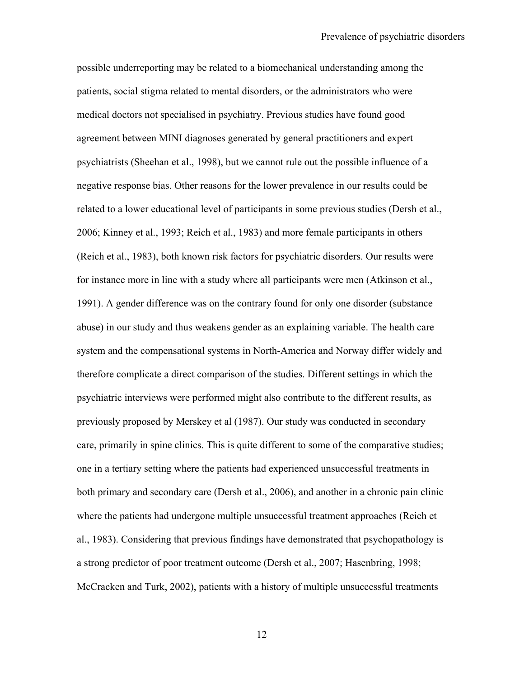possible underreporting may be related to a biomechanical understanding among the patients, social stigma related to mental disorders, or the administrators who were medical doctors not specialised in psychiatry. Previous studies have found good agreement between MINI diagnoses generated by general practitioners and expert psychiatrists (Sheehan et al., 1998), but we cannot rule out the possible influence of a negative response bias. Other reasons for the lower prevalence in our results could be related to a lower educational level of participants in some previous studies (Dersh et al., 2006; Kinney et al., 1993; Reich et al., 1983) and more female participants in others (Reich et al., 1983), both known risk factors for psychiatric disorders. Our results were for instance more in line with a study where all participants were men (Atkinson et al., 1991). A gender difference was on the contrary found for only one disorder (substance abuse) in our study and thus weakens gender as an explaining variable. The health care system and the compensational systems in North-America and Norway differ widely and therefore complicate a direct comparison of the studies. Different settings in which the psychiatric interviews were performed might also contribute to the different results, as previously proposed by Merskey et al (1987). Our study was conducted in secondary care, primarily in spine clinics. This is quite different to some of the comparative studies; one in a tertiary setting where the patients had experienced unsuccessful treatments in both primary and secondary care (Dersh et al., 2006), and another in a chronic pain clinic where the patients had undergone multiple unsuccessful treatment approaches (Reich et al., 1983). Considering that previous findings have demonstrated that psychopathology is a strong predictor of poor treatment outcome (Dersh et al., 2007; Hasenbring, 1998; McCracken and Turk, 2002), patients with a history of multiple unsuccessful treatments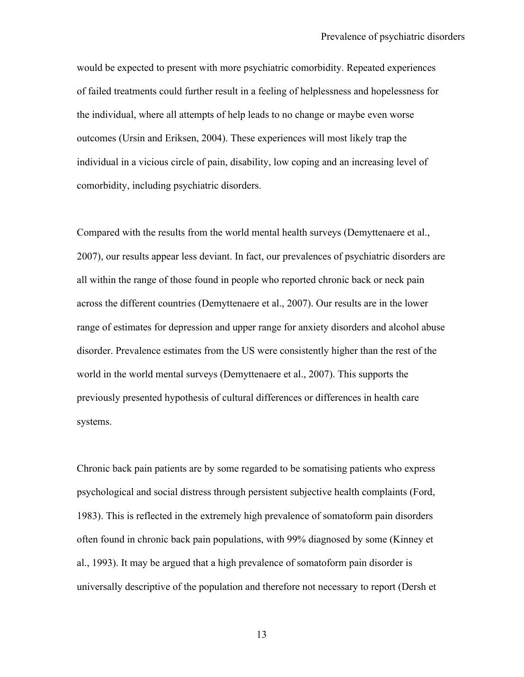would be expected to present with more psychiatric comorbidity. Repeated experiences of failed treatments could further result in a feeling of helplessness and hopelessness for the individual, where all attempts of help leads to no change or maybe even worse outcomes (Ursin and Eriksen, 2004). These experiences will most likely trap the individual in a vicious circle of pain, disability, low coping and an increasing level of comorbidity, including psychiatric disorders.

Compared with the results from the world mental health surveys (Demyttenaere et al., 2007), our results appear less deviant. In fact, our prevalences of psychiatric disorders are all within the range of those found in people who reported chronic back or neck pain across the different countries (Demyttenaere et al., 2007). Our results are in the lower range of estimates for depression and upper range for anxiety disorders and alcohol abuse disorder. Prevalence estimates from the US were consistently higher than the rest of the world in the world mental surveys (Demyttenaere et al., 2007). This supports the previously presented hypothesis of cultural differences or differences in health care systems.

Chronic back pain patients are by some regarded to be somatising patients who express psychological and social distress through persistent subjective health complaints (Ford, 1983). This is reflected in the extremely high prevalence of somatoform pain disorders often found in chronic back pain populations, with 99% diagnosed by some (Kinney et al., 1993). It may be argued that a high prevalence of somatoform pain disorder is universally descriptive of the population and therefore not necessary to report (Dersh et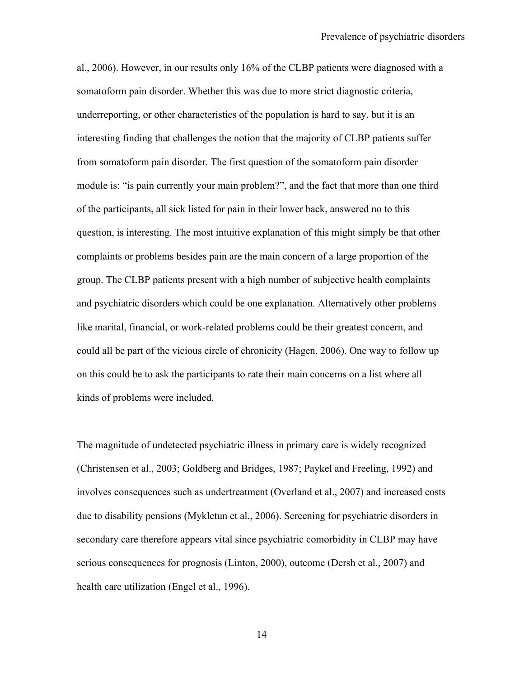al., 2006). However, in our results only 16% of the CLBP patients were diagnosed with a somatoform pain disorder. Whether this was due to more strict diagnostic criteria, underreporting, or other characteristics of the population is hard to say, but it is an interesting finding that challenges the notion that the majority of CLBP patients suffer from somatoform pain disorder. The first question of the somatoform pain disorder module is: "is pain currently your main problem?", and the fact that more than one third of the participants, all sick listed for pain in their lower back, answered no to this question, is interesting. The most intuitive explanation of this might simply be that other complaints or problems besides pain are the main concern of a large proportion of the group. The CLBP patients present with a high number of subjective health complaints and psychiatric disorders which could be one explanation. Alternatively other problems like marital, financial, or work-related problems could be their greatest concern, and could all be part of the vicious circle of chronicity (Hagen, 2006). One way to follow up on this could be to ask the participants to rate their main concerns on a list where all kinds of problems were included.

The magnitude of undetected psychiatric illness in primary care is widely recognized (Christensen et al., 2003; Goldberg and Bridges, 1987; Paykel and Freeling, 1992) and involves consequences such as undertreatment (Overland et al., 2007) and increased costs due to disability pensions (Mykletun et al., 2006). Screening for psychiatric disorders in secondary care therefore appears vital since psychiatric comorbidity in CLBP may have serious consequences for prognosis (Linton, 2000), outcome (Dersh et al., 2007) and health care utilization (Engel et al., 1996).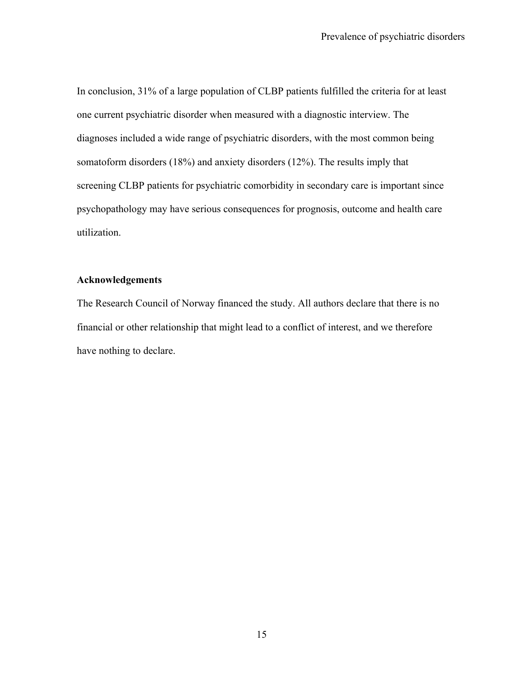In conclusion, 31% of a large population of CLBP patients fulfilled the criteria for at least one current psychiatric disorder when measured with a diagnostic interview. The diagnoses included a wide range of psychiatric disorders, with the most common being somatoform disorders (18%) and anxiety disorders (12%). The results imply that screening CLBP patients for psychiatric comorbidity in secondary care is important since psychopathology may have serious consequences for prognosis, outcome and health care utilization.

## **Acknowledgements**

The Research Council of Norway financed the study. All authors declare that there is no financial or other relationship that might lead to a conflict of interest, and we therefore have nothing to declare.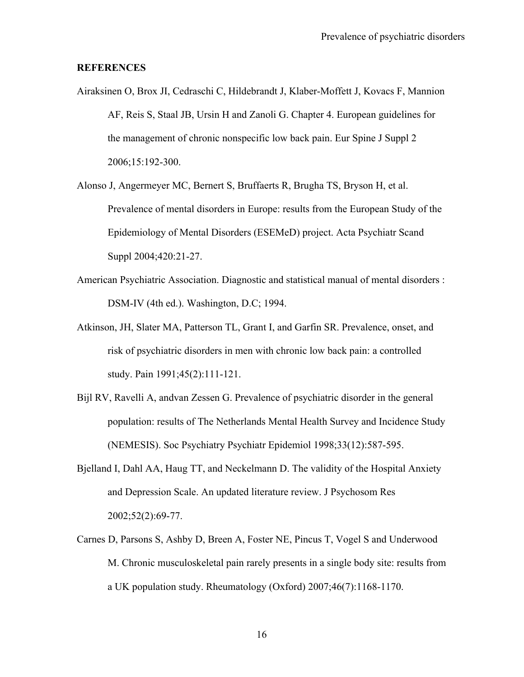#### **REFERENCES**

- Airaksinen O, Brox JI, Cedraschi C, Hildebrandt J, Klaber-Moffett J, Kovacs F, Mannion AF, Reis S, Staal JB, Ursin H and Zanoli G. Chapter 4. European guidelines for the management of chronic nonspecific low back pain. Eur Spine J Suppl 2 2006;15:192-300.
- Alonso J, Angermeyer MC, Bernert S, Bruffaerts R, Brugha TS, Bryson H, et al. Prevalence of mental disorders in Europe: results from the European Study of the Epidemiology of Mental Disorders (ESEMeD) project. Acta Psychiatr Scand Suppl 2004;420:21-27.
- American Psychiatric Association. Diagnostic and statistical manual of mental disorders : DSM-IV (4th ed.). Washington, D.C; 1994.
- Atkinson, JH, Slater MA, Patterson TL, Grant I, and Garfin SR. Prevalence, onset, and risk of psychiatric disorders in men with chronic low back pain: a controlled study. Pain 1991;45(2):111-121.
- Bijl RV, Ravelli A, andvan Zessen G. Prevalence of psychiatric disorder in the general population: results of The Netherlands Mental Health Survey and Incidence Study (NEMESIS). Soc Psychiatry Psychiatr Epidemiol 1998;33(12):587-595.
- Bjelland I, Dahl AA, Haug TT, and Neckelmann D. The validity of the Hospital Anxiety and Depression Scale. An updated literature review. J Psychosom Res 2002;52(2):69-77.
- Carnes D, Parsons S, Ashby D, Breen A, Foster NE, Pincus T, Vogel S and Underwood M. Chronic musculoskeletal pain rarely presents in a single body site: results from a UK population study. Rheumatology (Oxford) 2007;46(7):1168-1170.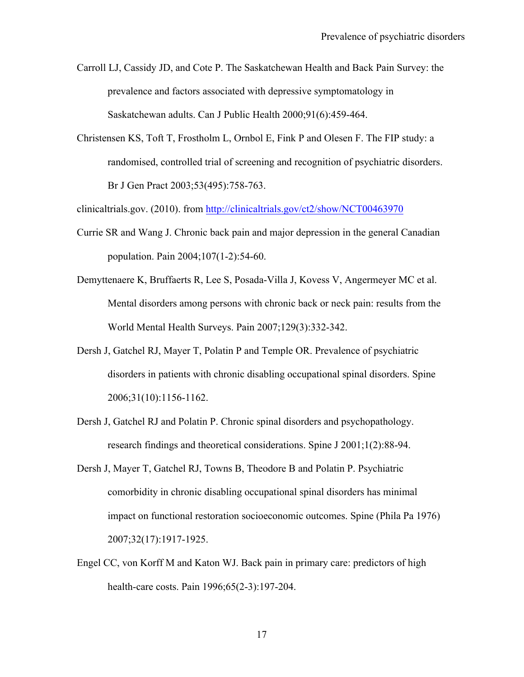Carroll LJ, Cassidy JD, and Cote P. The Saskatchewan Health and Back Pain Survey: the prevalence and factors associated with depressive symptomatology in Saskatchewan adults. Can J Public Health 2000;91(6):459-464.

Christensen KS, Toft T, Frostholm L, Ornbol E, Fink P and Olesen F. The FIP study: a randomised, controlled trial of screening and recognition of psychiatric disorders. Br J Gen Pract 2003;53(495):758-763.

clinicaltrials.gov. (2010). from http://clinicaltrials.gov/ct2/show/NCT00463970

- Currie SR and Wang J. Chronic back pain and major depression in the general Canadian population. Pain 2004;107(1-2):54-60.
- Demyttenaere K, Bruffaerts R, Lee S, Posada-Villa J, Kovess V, Angermeyer MC et al. Mental disorders among persons with chronic back or neck pain: results from the World Mental Health Surveys. Pain 2007;129(3):332-342.
- Dersh J, Gatchel RJ, Mayer T, Polatin P and Temple OR. Prevalence of psychiatric disorders in patients with chronic disabling occupational spinal disorders. Spine 2006;31(10):1156-1162.
- Dersh J, Gatchel RJ and Polatin P. Chronic spinal disorders and psychopathology. research findings and theoretical considerations. Spine J 2001;1(2):88-94.
- Dersh J, Mayer T, Gatchel RJ, Towns B, Theodore B and Polatin P. Psychiatric comorbidity in chronic disabling occupational spinal disorders has minimal impact on functional restoration socioeconomic outcomes. Spine (Phila Pa 1976) 2007;32(17):1917-1925.
- Engel CC, von Korff M and Katon WJ. Back pain in primary care: predictors of high health-care costs. Pain 1996;65(2-3):197-204.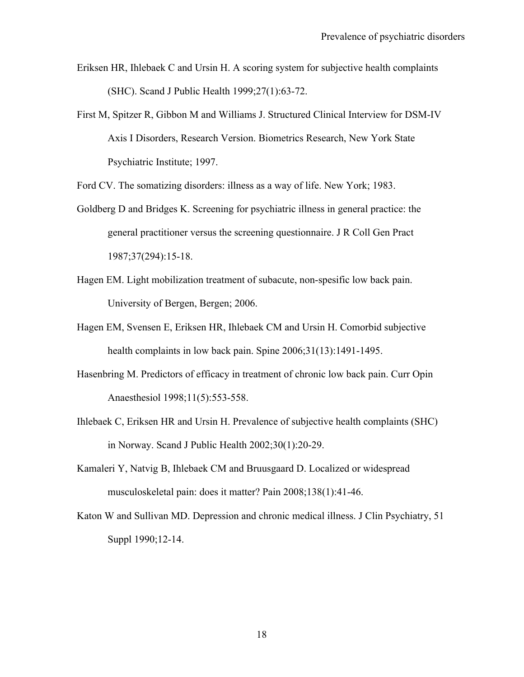- Eriksen HR, Ihlebaek C and Ursin H. A scoring system for subjective health complaints (SHC). Scand J Public Health 1999;27(1):63-72.
- First M, Spitzer R, Gibbon M and Williams J. Structured Clinical Interview for DSM-IV Axis I Disorders, Research Version. Biometrics Research, New York State Psychiatric Institute; 1997.

Ford CV. The somatizing disorders: illness as a way of life. New York; 1983.

- Goldberg D and Bridges K. Screening for psychiatric illness in general practice: the general practitioner versus the screening questionnaire. J R Coll Gen Pract 1987;37(294):15-18.
- Hagen EM. Light mobilization treatment of subacute, non-spesific low back pain. University of Bergen, Bergen; 2006.
- Hagen EM, Svensen E, Eriksen HR, Ihlebaek CM and Ursin H. Comorbid subjective health complaints in low back pain. Spine 2006;31(13):1491-1495.
- Hasenbring M. Predictors of efficacy in treatment of chronic low back pain. Curr Opin Anaesthesiol 1998;11(5):553-558.
- Ihlebaek C, Eriksen HR and Ursin H. Prevalence of subjective health complaints (SHC) in Norway. Scand J Public Health 2002;30(1):20-29.
- Kamaleri Y, Natvig B, Ihlebaek CM and Bruusgaard D. Localized or widespread musculoskeletal pain: does it matter? Pain 2008;138(1):41-46.
- Katon W and Sullivan MD. Depression and chronic medical illness. J Clin Psychiatry, 51 Suppl 1990;12-14.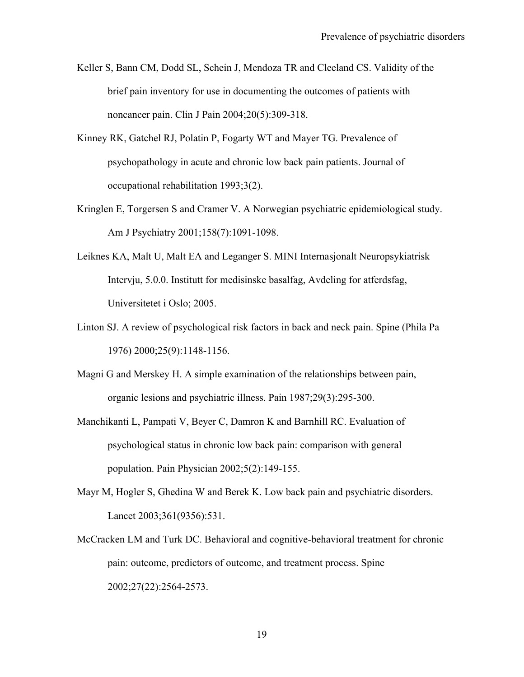- Keller S, Bann CM, Dodd SL, Schein J, Mendoza TR and Cleeland CS. Validity of the brief pain inventory for use in documenting the outcomes of patients with noncancer pain. Clin J Pain 2004;20(5):309-318.
- Kinney RK, Gatchel RJ, Polatin P, Fogarty WT and Mayer TG. Prevalence of psychopathology in acute and chronic low back pain patients. Journal of occupational rehabilitation 1993;3(2).
- Kringlen E, Torgersen S and Cramer V. A Norwegian psychiatric epidemiological study. Am J Psychiatry 2001;158(7):1091-1098.
- Leiknes KA, Malt U, Malt EA and Leganger S. MINI Internasjonalt Neuropsykiatrisk Intervju, 5.0.0. Institutt for medisinske basalfag, Avdeling for atferdsfag, Universitetet i Oslo; 2005.
- Linton SJ. A review of psychological risk factors in back and neck pain. Spine (Phila Pa 1976) 2000;25(9):1148-1156.
- Magni G and Merskey H. A simple examination of the relationships between pain, organic lesions and psychiatric illness. Pain 1987;29(3):295-300.
- Manchikanti L, Pampati V, Beyer C, Damron K and Barnhill RC. Evaluation of psychological status in chronic low back pain: comparison with general population. Pain Physician 2002;5(2):149-155.
- Mayr M, Hogler S, Ghedina W and Berek K. Low back pain and psychiatric disorders. Lancet 2003;361(9356):531.
- McCracken LM and Turk DC. Behavioral and cognitive-behavioral treatment for chronic pain: outcome, predictors of outcome, and treatment process. Spine 2002;27(22):2564-2573.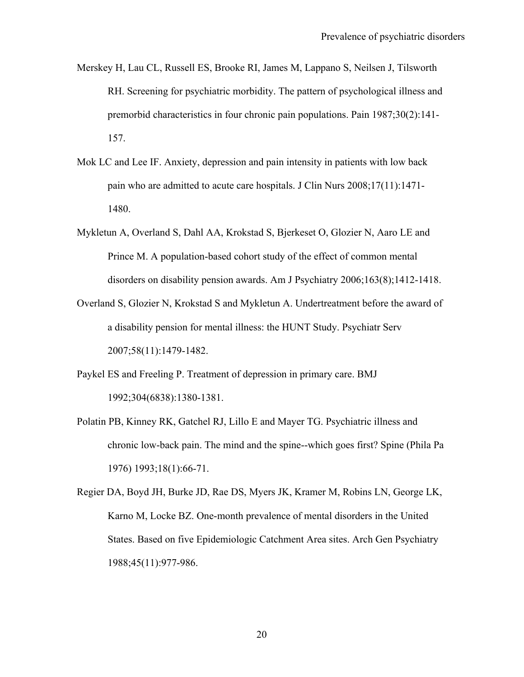- Merskey H, Lau CL, Russell ES, Brooke RI, James M, Lappano S, Neilsen J, Tilsworth RH. Screening for psychiatric morbidity. The pattern of psychological illness and premorbid characteristics in four chronic pain populations. Pain 1987;30(2):141- 157.
- Mok LC and Lee IF. Anxiety, depression and pain intensity in patients with low back pain who are admitted to acute care hospitals. J Clin Nurs 2008;17(11):1471- 1480.
- Mykletun A, Overland S, Dahl AA, Krokstad S, Bjerkeset O, Glozier N, Aaro LE and Prince M. A population-based cohort study of the effect of common mental disorders on disability pension awards. Am J Psychiatry 2006;163(8);1412-1418.
- Overland S, Glozier N, Krokstad S and Mykletun A. Undertreatment before the award of a disability pension for mental illness: the HUNT Study. Psychiatr Serv 2007;58(11):1479-1482.
- Paykel ES and Freeling P. Treatment of depression in primary care. BMJ 1992;304(6838):1380-1381.
- Polatin PB, Kinney RK, Gatchel RJ, Lillo E and Mayer TG. Psychiatric illness and chronic low-back pain. The mind and the spine--which goes first? Spine (Phila Pa 1976) 1993;18(1):66-71.
- Regier DA, Boyd JH, Burke JD, Rae DS, Myers JK, Kramer M, Robins LN, George LK, Karno M, Locke BZ. One-month prevalence of mental disorders in the United States. Based on five Epidemiologic Catchment Area sites. Arch Gen Psychiatry 1988;45(11):977-986.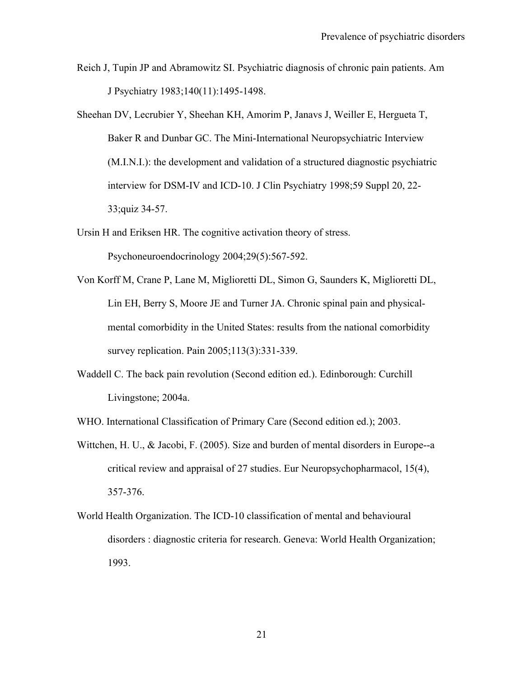- Reich J, Tupin JP and Abramowitz SI. Psychiatric diagnosis of chronic pain patients. Am J Psychiatry 1983;140(11):1495-1498.
- Sheehan DV, Lecrubier Y, Sheehan KH, Amorim P, Janavs J, Weiller E, Hergueta T, Baker R and Dunbar GC. The Mini-International Neuropsychiatric Interview (M.I.N.I.): the development and validation of a structured diagnostic psychiatric interview for DSM-IV and ICD-10. J Clin Psychiatry 1998;59 Suppl 20, 22- 33;quiz 34-57.
- Ursin H and Eriksen HR. The cognitive activation theory of stress. Psychoneuroendocrinology 2004;29(5):567-592.
- Von Korff M, Crane P, Lane M, Miglioretti DL, Simon G, Saunders K, Miglioretti DL, Lin EH, Berry S, Moore JE and Turner JA. Chronic spinal pain and physicalmental comorbidity in the United States: results from the national comorbidity survey replication. Pain 2005;113(3):331-339.
- Waddell C. The back pain revolution (Second edition ed.). Edinborough: Curchill Livingstone; 2004a.

WHO. International Classification of Primary Care (Second edition ed.); 2003.

- Wittchen, H. U., & Jacobi, F. (2005). Size and burden of mental disorders in Europe--a critical review and appraisal of 27 studies. Eur Neuropsychopharmacol, 15(4), 357-376.
- World Health Organization. The ICD-10 classification of mental and behavioural disorders : diagnostic criteria for research. Geneva: World Health Organization; 1993.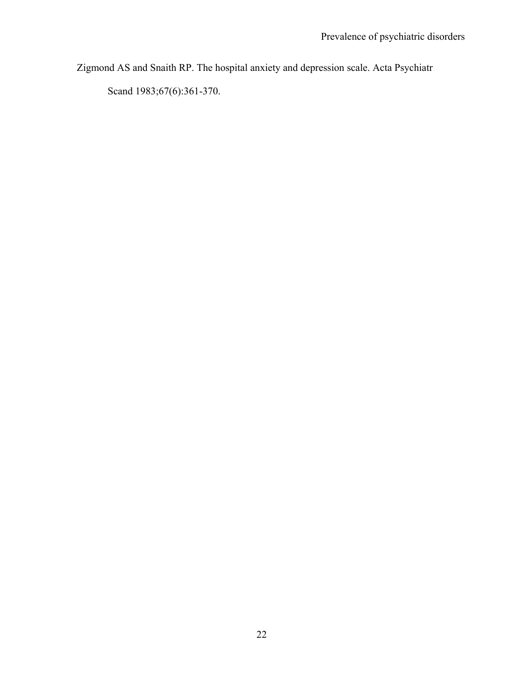Zigmond AS and Snaith RP. The hospital anxiety and depression scale. Acta Psychiatr

Scand 1983;67(6):361-370.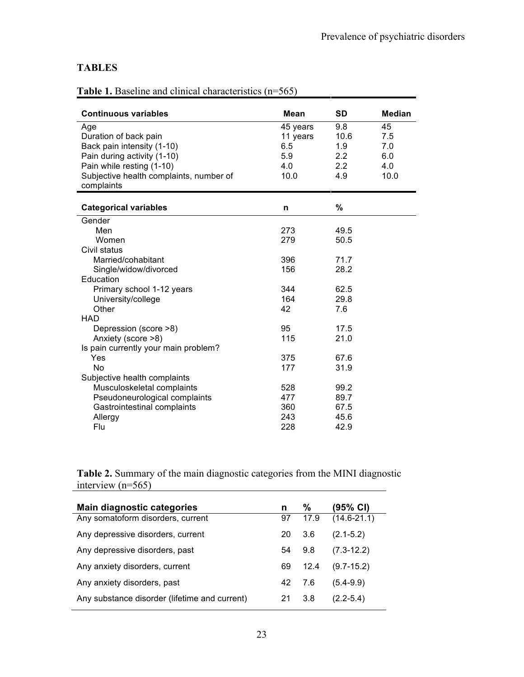## **TABLES**

| Table 1. Baseline and clinical characteristics $(n=565)$ |
|----------------------------------------------------------|
|----------------------------------------------------------|

| <b>Continuous variables</b>             | <b>Mean</b> | <b>SD</b> | <b>Median</b> |
|-----------------------------------------|-------------|-----------|---------------|
| Age                                     | 45 years    | 9.8       | 45            |
| Duration of back pain                   | 11 years    | 10.6      | 7.5           |
| Back pain intensity (1-10)              | 6.5         | 1.9       | 7.0           |
| Pain during activity (1-10)             | 5.9         | 2.2       | 6.0           |
| Pain while resting (1-10)               | 4.0         | 2.2       | 4.0           |
| Subjective health complaints, number of | 10.0        | 4.9       | 10.0          |
| complaints                              |             |           |               |
|                                         |             |           |               |
| <b>Categorical variables</b>            | n           | $\%$      |               |
| Gender                                  |             |           |               |
| Men                                     | 273         | 49.5      |               |
| Women                                   | 279         | 50.5      |               |
| Civil status                            |             |           |               |
| Married/cohabitant                      | 396         | 71.7      |               |
| Single/widow/divorced                   | 156         | 28.2      |               |
| Education                               |             |           |               |
| Primary school 1-12 years               | 344         | 62.5      |               |
| University/college                      | 164         | 29.8      |               |
| Other                                   | 42          | 7.6       |               |
| <b>HAD</b>                              |             |           |               |
| Depression (score >8)                   | 95          | 17.5      |               |
| Anxiety (score >8)                      | 115         | 21.0      |               |
| Is pain currently your main problem?    |             |           |               |
| Yes                                     | 375         | 67.6      |               |
| <b>No</b>                               | 177         | 31.9      |               |
| Subjective health complaints            |             |           |               |
| Musculoskeletal complaints              | 528         | 99.2      |               |
| Pseudoneurological complaints           | 477         | 89.7      |               |
| Gastrointestinal complaints             | 360         | 67.5      |               |
| Allergy                                 | 243         | 45.6      |               |
| Flu                                     | 228         | 42.9      |               |

**Table 2.** Summary of the main diagnostic categories from the MINI diagnostic interview (n=565) <u> 1980 - Johann Barn, mars ann an t-Amhain Aonaich an t-Aonaich an t-Aonaich ann an t-Aonaich ann an t-Aonaich</u>

| <b>Main diagnostic categories</b>             | n  | ℅    | (95% CI)        |
|-----------------------------------------------|----|------|-----------------|
| Any somatoform disorders, current             | 97 | 17.9 | $(14.6 - 21.1)$ |
| Any depressive disorders, current             | 20 | 3.6  | $(2.1 - 5.2)$   |
| Any depressive disorders, past                | 54 | 9.8  | $(7.3 - 12.2)$  |
| Any anxiety disorders, current                | 69 | 12.4 | $(9.7 - 15.2)$  |
| Any anxiety disorders, past                   | 42 | 7.6  | $(5.4 - 9.9)$   |
| Any substance disorder (lifetime and current) | 21 | 3.8  | $(2.2 - 5.4)$   |
|                                               |    |      |                 |